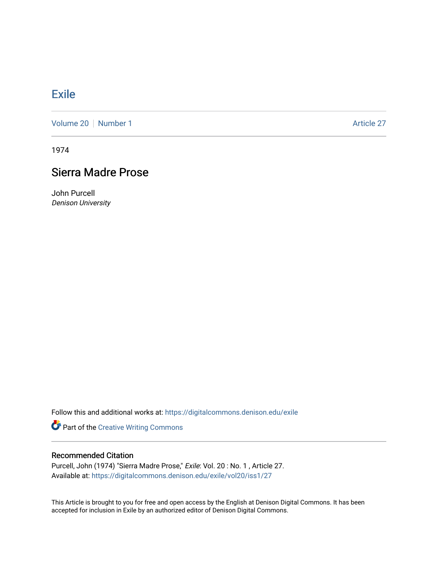## **[Exile](https://digitalcommons.denison.edu/exile)**

[Volume 20](https://digitalcommons.denison.edu/exile/vol20) | [Number 1](https://digitalcommons.denison.edu/exile/vol20/iss1) Article 27

1974

## Sierra Madre Prose

John Purcell Denison University

Follow this and additional works at: [https://digitalcommons.denison.edu/exile](https://digitalcommons.denison.edu/exile?utm_source=digitalcommons.denison.edu%2Fexile%2Fvol20%2Fiss1%2F27&utm_medium=PDF&utm_campaign=PDFCoverPages) 

Part of the [Creative Writing Commons](http://network.bepress.com/hgg/discipline/574?utm_source=digitalcommons.denison.edu%2Fexile%2Fvol20%2Fiss1%2F27&utm_medium=PDF&utm_campaign=PDFCoverPages) 

## Recommended Citation

Purcell, John (1974) "Sierra Madre Prose," Exile: Vol. 20 : No. 1 , Article 27. Available at: [https://digitalcommons.denison.edu/exile/vol20/iss1/27](https://digitalcommons.denison.edu/exile/vol20/iss1/27?utm_source=digitalcommons.denison.edu%2Fexile%2Fvol20%2Fiss1%2F27&utm_medium=PDF&utm_campaign=PDFCoverPages)

This Article is brought to you for free and open access by the English at Denison Digital Commons. It has been accepted for inclusion in Exile by an authorized editor of Denison Digital Commons.